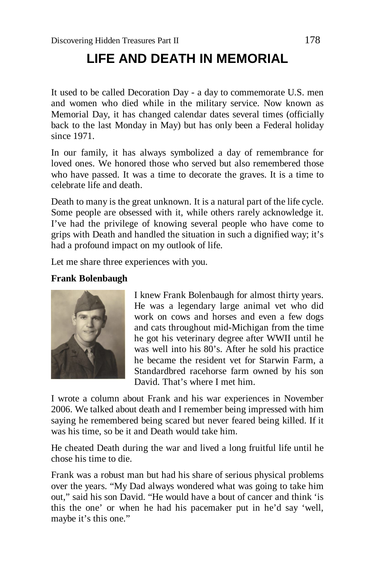## **LIFE AND DEATH IN MEMORIAL**

It used to be called Decoration Day - a day to commemorate U.S. men and women who died while in the military service. Now known as Memorial Day, it has changed calendar dates several times (officially back to the last Monday in May) but has only been a Federal holiday since 1971.

In our family, it has always symbolized a day of remembrance for loved ones. We honored those who served but also remembered those who have passed. It was a time to decorate the graves. It is a time to celebrate life and death.

Death to many is the great unknown. It is a natural part of the life cycle. Some people are obsessed with it, while others rarely acknowledge it. I've had the privilege of knowing several people who have come to grips with Death and handled the situation in such a dignified way; it's had a profound impact on my outlook of life.

Let me share three experiences with you.

## **Frank Bolenbaugh**



I knew Frank Bolenbaugh for almost thirty years. He was a legendary large animal vet who did work on cows and horses and even a few dogs and cats throughout mid-Michigan from the time he got his veterinary degree after WWII until he was well into his 80's. After he sold his practice he became the resident vet for Starwin Farm, a Standardbred racehorse farm owned by his son David. That's where I met him.

I wrote a column about Frank and his war experiences in November 2006. We talked about death and I remember being impressed with him saying he remembered being scared but never feared being killed. If it was his time, so be it and Death would take him.

He cheated Death during the war and lived a long fruitful life until he chose his time to die.

Frank was a robust man but had his share of serious physical problems over the years. "My Dad always wondered what was going to take him out," said his son David. "He would have a bout of cancer and think 'is this the one' or when he had his pacemaker put in he'd say 'well, maybe it's this one."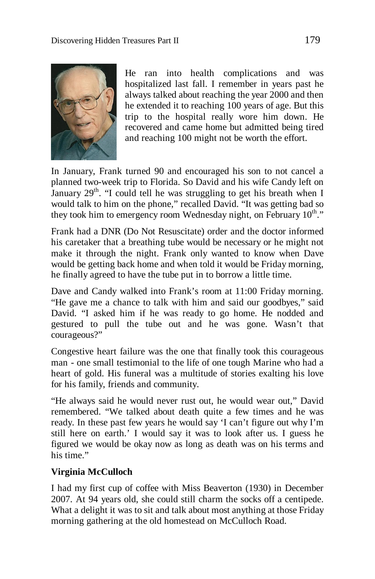

He ran into health complications and was hospitalized last fall. I remember in years past he always talked about reaching the year 2000 and then he extended it to reaching 100 years of age. But this trip to the hospital really wore him down. He recovered and came home but admitted being tired and reaching 100 might not be worth the effort.

In January, Frank turned 90 and encouraged his son to not cancel a planned two-week trip to Florida. So David and his wife Candy left on January  $29<sup>th</sup>$ . "I could tell he was struggling to get his breath when I would talk to him on the phone," recalled David. "It was getting bad so they took him to emergency room Wednesday night, on February 10<sup>th</sup>."

Frank had a DNR (Do Not Resuscitate) order and the doctor informed his caretaker that a breathing tube would be necessary or he might not make it through the night. Frank only wanted to know when Dave would be getting back home and when told it would be Friday morning, he finally agreed to have the tube put in to borrow a little time.

Dave and Candy walked into Frank's room at 11:00 Friday morning. "He gave me a chance to talk with him and said our goodbyes," said David. "I asked him if he was ready to go home. He nodded and gestured to pull the tube out and he was gone. Wasn't that courageous?"

Congestive heart failure was the one that finally took this courageous man - one small testimonial to the life of one tough Marine who had a heart of gold. His funeral was a multitude of stories exalting his love for his family, friends and community.

"He always said he would never rust out, he would wear out," David remembered. "We talked about death quite a few times and he was ready. In these past few years he would say 'I can't figure out why I'm still here on earth.' I would say it was to look after us. I guess he figured we would be okay now as long as death was on his terms and his time."

## **Virginia McCulloch**

I had my first cup of coffee with Miss Beaverton (1930) in December 2007. At 94 years old, she could still charm the socks off a centipede. What a delight it was to sit and talk about most anything at those Friday morning gathering at the old homestead on McCulloch Road.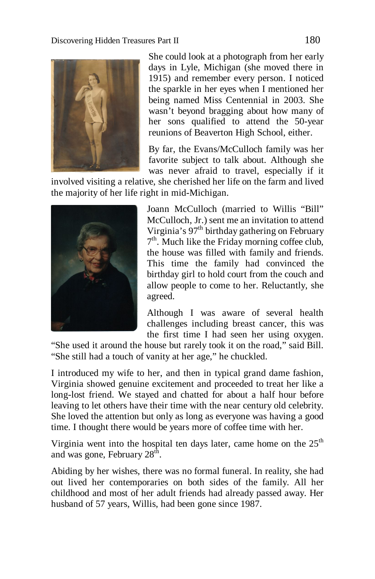

She could look at a photograph from her early days in Lyle, Michigan (she moved there in 1915) and remember every person. I noticed the sparkle in her eyes when I mentioned her being named Miss Centennial in 2003. She wasn't beyond bragging about how many of her sons qualified to attend the 50-year reunions of Beaverton High School, either.

By far, the Evans/McCulloch family was her favorite subject to talk about. Although she was never afraid to travel, especially if it

involved visiting a relative, she cherished her life on the farm and lived the majority of her life right in mid-Michigan.



Joann McCulloch (married to Willis "Bill" McCulloch, Jr.) sent me an invitation to attend Virginia's 97<sup>th</sup> birthday gathering on February 7<sup>th</sup>. Much like the Friday morning coffee club, the house was filled with family and friends. This time the family had convinced the birthday girl to hold court from the couch and allow people to come to her. Reluctantly, she agreed.

Although I was aware of several health challenges including breast cancer, this was the first time I had seen her using oxygen.

"She used it around the house but rarely took it on the road," said Bill. "She still had a touch of vanity at her age," he chuckled.

I introduced my wife to her, and then in typical grand dame fashion, Virginia showed genuine excitement and proceeded to treat her like a long-lost friend. We stayed and chatted for about a half hour before leaving to let others have their time with the near century old celebrity. She loved the attention but only as long as everyone was having a good time. I thought there would be years more of coffee time with her.

Virginia went into the hospital ten days later, came home on the  $25<sup>th</sup>$ and was gone, February  $28<sup>th</sup>$ .

Abiding by her wishes, there was no formal funeral. In reality, she had out lived her contemporaries on both sides of the family. All her childhood and most of her adult friends had already passed away. Her husband of 57 years, Willis, had been gone since 1987.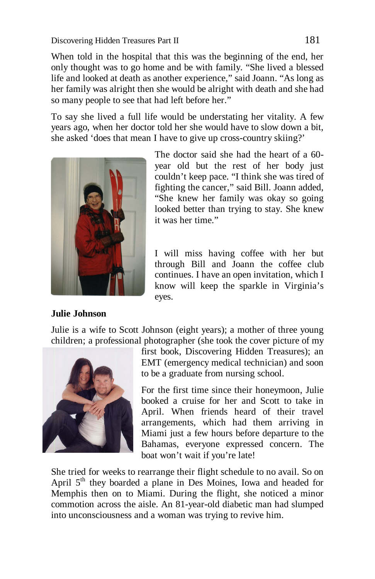When told in the hospital that this was the beginning of the end, her only thought was to go home and be with family. "She lived a blessed life and looked at death as another experience," said Joann. "As long as her family was alright then she would be alright with death and she had so many people to see that had left before her."

To say she lived a full life would be understating her vitality. A few years ago, when her doctor told her she would have to slow down a bit, she asked 'does that mean I have to give up cross-country skiing?'



The doctor said she had the heart of a 60 year old but the rest of her body just couldn't keep pace. "I think she was tired of fighting the cancer," said Bill. Joann added, "She knew her family was okay so going looked better than trying to stay. She knew it was her time."

I will miss having coffee with her but through Bill and Joann the coffee club continues. I have an open invitation, which I know will keep the sparkle in Virginia's eyes.

## **Julie Johnson**

Julie is a wife to Scott Johnson (eight years); a mother of three young children; a professional photographer (she took the cover picture of my



first book, Discovering Hidden Treasures); an EMT (emergency medical technician) and soon to be a graduate from nursing school.

For the first time since their honeymoon, Julie booked a cruise for her and Scott to take in April. When friends heard of their travel arrangements, which had them arriving in Miami just a few hours before departure to the Bahamas, everyone expressed concern. The boat won't wait if you're late!

She tried for weeks to rearrange their flight schedule to no avail. So on April 5<sup>th</sup> they boarded a plane in Des Moines, Iowa and headed for Memphis then on to Miami. During the flight, she noticed a minor commotion across the aisle. An 81-year-old diabetic man had slumped into unconsciousness and a woman was trying to revive him.